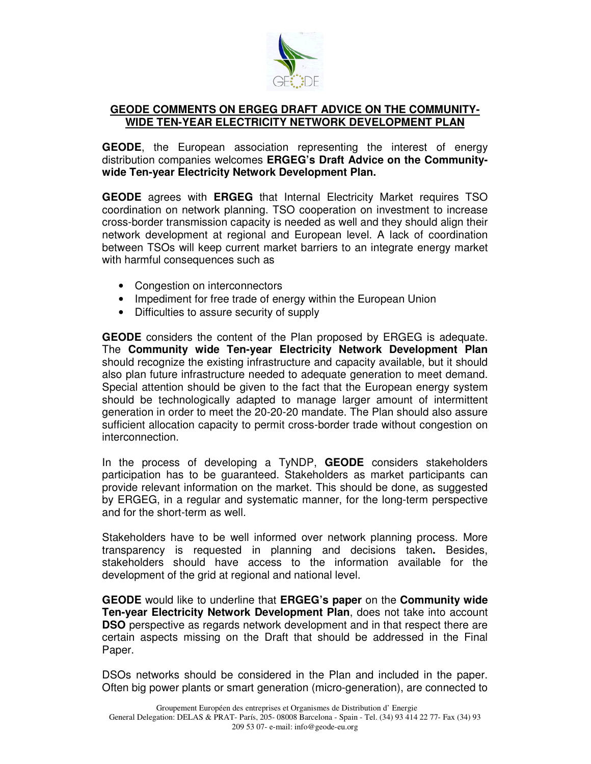

## **GEODE COMMENTS ON ERGEG DRAFT ADVICE ON THE COMMUNITY-WIDE TEN-YEAR ELECTRICITY NETWORK DEVELOPMENT PLAN**

**GEODE**, the European association representing the interest of energy distribution companies welcomes **ERGEG's Draft Advice on the Communitywide Ten-year Electricity Network Development Plan.**

**GEODE** agrees with **ERGEG** that Internal Electricity Market requires TSO coordination on network planning. TSO cooperation on investment to increase cross-border transmission capacity is needed as well and they should align their network development at regional and European level. A lack of coordination between TSOs will keep current market barriers to an integrate energy market with harmful consequences such as

- Congestion on interconnectors
- Impediment for free trade of energy within the European Union
- Difficulties to assure security of supply

**GEODE** considers the content of the Plan proposed by ERGEG is adequate. The **Community wide Ten-year Electricity Network Development Plan** should recognize the existing infrastructure and capacity available, but it should also plan future infrastructure needed to adequate generation to meet demand. Special attention should be given to the fact that the European energy system should be technologically adapted to manage larger amount of intermittent generation in order to meet the 20-20-20 mandate. The Plan should also assure sufficient allocation capacity to permit cross-border trade without congestion on interconnection.

In the process of developing a TyNDP, **GEODE** considers stakeholders participation has to be guaranteed. Stakeholders as market participants can provide relevant information on the market. This should be done, as suggested by ERGEG, in a regular and systematic manner, for the long-term perspective and for the short-term as well.

Stakeholders have to be well informed over network planning process. More transparency is requested in planning and decisions taken**.** Besides, stakeholders should have access to the information available for the development of the grid at regional and national level.

**GEODE** would like to underline that **ERGEG's paper** on the **Community wide Ten-year Electricity Network Development Plan**, does not take into account **DSO** perspective as regards network development and in that respect there are certain aspects missing on the Draft that should be addressed in the Final Paper.

DSOs networks should be considered in the Plan and included in the paper. Often big power plants or smart generation (micro-generation), are connected to